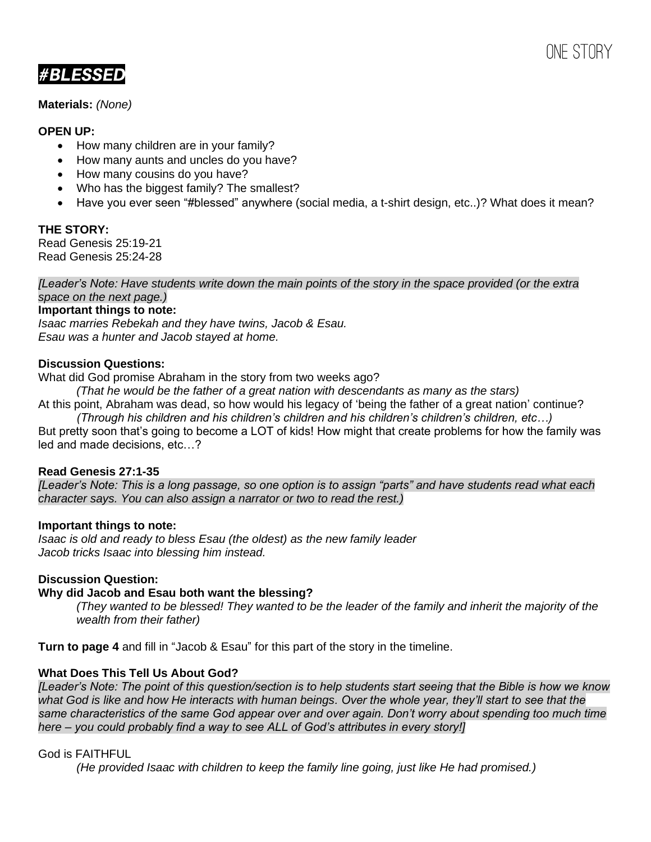ONE STORY

**#BLESSED** 

**Materials:** *(None)*

# **OPEN UP:**

- How many children are in your family?
- How many aunts and uncles do you have?
- How many cousins do you have?
- Who has the biggest family? The smallest?
- Have you ever seen "#blessed" anywhere (social media, a t-shirt design, etc..)? What does it mean?

# **THE STORY:**

Read Genesis 25:19-21 Read Genesis 25:24-28

*[Leader's Note: Have students write down the main points of the story in the space provided (or the extra space on the next page.)*

#### **Important things to note:**

*Isaac marries Rebekah and they have twins, Jacob & Esau. Esau was a hunter and Jacob stayed at home.*

#### **Discussion Questions:**

What did God promise Abraham in the story from two weeks ago?

*(That he would be the father of a great nation with descendants as many as the stars)* At this point, Abraham was dead, so how would his legacy of 'being the father of a great nation' continue?

*(Through his children and his children's children and his children's children's children, etc…)* But pretty soon that's going to become a LOT of kids! How might that create problems for how the family was led and made decisions, etc…?

## **Read Genesis 27:1-35**

*[Leader's Note: This is a long passage, so one option is to assign "parts" and have students read what each character says. You can also assign a narrator or two to read the rest.)*

#### **Important things to note:**

*Isaac is old and ready to bless Esau (the oldest) as the new family leader Jacob tricks Isaac into blessing him instead.*

## **Discussion Question:**

## **Why did Jacob and Esau both want the blessing?**

*(They wanted to be blessed! They wanted to be the leader of the family and inherit the majority of the wealth from their father)*

**Turn to page 4** and fill in "Jacob & Esau" for this part of the story in the timeline.

## **What Does This Tell Us About God?**

*[Leader's Note: The point of this question/section is to help students start seeing that the Bible is how we know what God is like and how He interacts with human beings. Over the whole year, they'll start to see that the same characteristics of the same God appear over and over again. Don't worry about spending too much time here – you could probably find a way to see ALL of God's attributes in every story!]*

## God is FAITHFUL

*(He provided Isaac with children to keep the family line going, just like He had promised.)*